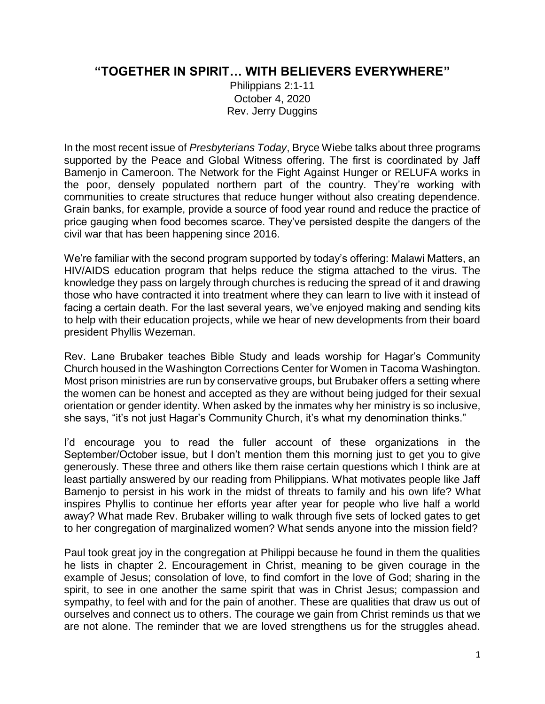## **"TOGETHER IN SPIRIT… WITH BELIEVERS EVERYWHERE"**

Philippians 2:1-11 October 4, 2020 Rev. Jerry Duggins

In the most recent issue of *Presbyterians Today*, Bryce Wiebe talks about three programs supported by the Peace and Global Witness offering. The first is coordinated by Jaff Bamenjo in Cameroon. The Network for the Fight Against Hunger or RELUFA works in the poor, densely populated northern part of the country. They're working with communities to create structures that reduce hunger without also creating dependence. Grain banks, for example, provide a source of food year round and reduce the practice of price gauging when food becomes scarce. They've persisted despite the dangers of the civil war that has been happening since 2016.

We're familiar with the second program supported by today's offering: Malawi Matters, an HIV/AIDS education program that helps reduce the stigma attached to the virus. The knowledge they pass on largely through churches is reducing the spread of it and drawing those who have contracted it into treatment where they can learn to live with it instead of facing a certain death. For the last several years, we've enjoyed making and sending kits to help with their education projects, while we hear of new developments from their board president Phyllis Wezeman.

Rev. Lane Brubaker teaches Bible Study and leads worship for Hagar's Community Church housed in the Washington Corrections Center for Women in Tacoma Washington. Most prison ministries are run by conservative groups, but Brubaker offers a setting where the women can be honest and accepted as they are without being judged for their sexual orientation or gender identity. When asked by the inmates why her ministry is so inclusive, she says, "it's not just Hagar's Community Church, it's what my denomination thinks."

I'd encourage you to read the fuller account of these organizations in the September/October issue, but I don't mention them this morning just to get you to give generously. These three and others like them raise certain questions which I think are at least partially answered by our reading from Philippians. What motivates people like Jaff Bamenjo to persist in his work in the midst of threats to family and his own life? What inspires Phyllis to continue her efforts year after year for people who live half a world away? What made Rev. Brubaker willing to walk through five sets of locked gates to get to her congregation of marginalized women? What sends anyone into the mission field?

Paul took great joy in the congregation at Philippi because he found in them the qualities he lists in chapter 2. Encouragement in Christ, meaning to be given courage in the example of Jesus; consolation of love, to find comfort in the love of God; sharing in the spirit, to see in one another the same spirit that was in Christ Jesus; compassion and sympathy, to feel with and for the pain of another. These are qualities that draw us out of ourselves and connect us to others. The courage we gain from Christ reminds us that we are not alone. The reminder that we are loved strengthens us for the struggles ahead.